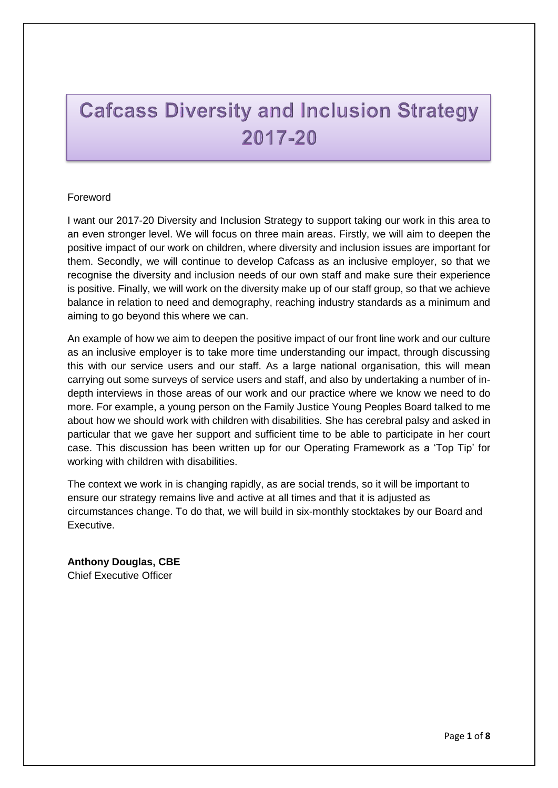# **Cafcass Diversity and Inclusion Strategy** 2017-20

### Foreword

I want our 2017-20 Diversity and Inclusion Strategy to support taking our work in this area to an even stronger level. We will focus on three main areas. Firstly, we will aim to deepen the positive impact of our work on children, where diversity and inclusion issues are important for them. Secondly, we will continue to develop Cafcass as an inclusive employer, so that we recognise the diversity and inclusion needs of our own staff and make sure their experience is positive. Finally, we will work on the diversity make up of our staff group, so that we achieve balance in relation to need and demography, reaching industry standards as a minimum and aiming to go beyond this where we can.

An example of how we aim to deepen the positive impact of our front line work and our culture as an inclusive employer is to take more time understanding our impact, through discussing this with our service users and our staff. As a large national organisation, this will mean carrying out some surveys of service users and staff, and also by undertaking a number of indepth interviews in those areas of our work and our practice where we know we need to do more. For example, a young person on the Family Justice Young Peoples Board talked to me about how we should work with children with disabilities. She has cerebral palsy and asked in particular that we gave her support and sufficient time to be able to participate in her court case. This discussion has been written up for our Operating Framework as a 'Top Tip' for working with children with disabilities.

The context we work in is changing rapidly, as are social trends, so it will be important to ensure our strategy remains live and active at all times and that it is adjusted as circumstances change. To do that, we will build in six-monthly stocktakes by our Board and Executive.

**Anthony Douglas, CBE** Chief Executive Officer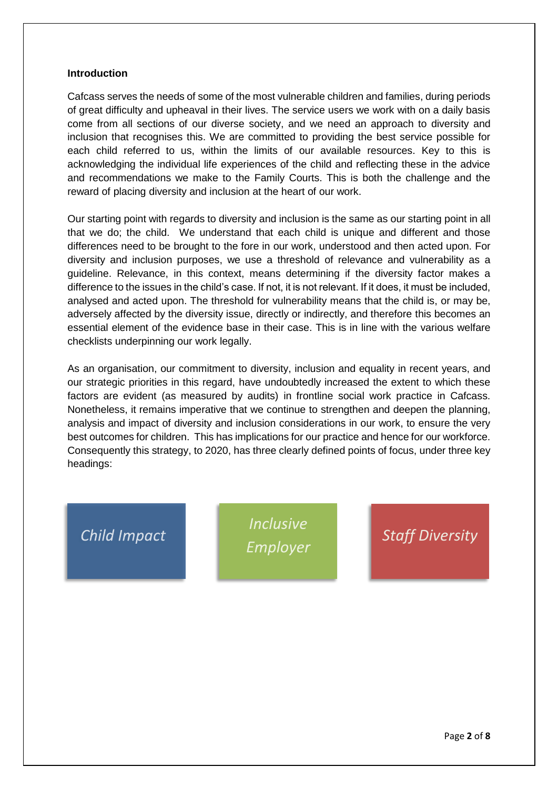#### **Introduction**

Cafcass serves the needs of some of the most vulnerable children and families, during periods of great difficulty and upheaval in their lives. The service users we work with on a daily basis come from all sections of our diverse society, and we need an approach to diversity and inclusion that recognises this. We are committed to providing the best service possible for each child referred to us, within the limits of our available resources. Key to this is acknowledging the individual life experiences of the child and reflecting these in the advice and recommendations we make to the Family Courts. This is both the challenge and the reward of placing diversity and inclusion at the heart of our work.

Our starting point with regards to diversity and inclusion is the same as our starting point in all that we do; the child. We understand that each child is unique and different and those differences need to be brought to the fore in our work, understood and then acted upon. For diversity and inclusion purposes, we use a threshold of relevance and vulnerability as a guideline. Relevance, in this context, means determining if the diversity factor makes a difference to the issues in the child's case. If not, it is not relevant. If it does, it must be included, analysed and acted upon. The threshold for vulnerability means that the child is, or may be, adversely affected by the diversity issue, directly or indirectly, and therefore this becomes an essential element of the evidence base in their case. This is in line with the various welfare checklists underpinning our work legally.

As an organisation, our commitment to diversity, inclusion and equality in recent years, and our strategic priorities in this regard, have undoubtedly increased the extent to which these factors are evident (as measured by audits) in frontline social work practice in Cafcass. Nonetheless, it remains imperative that we continue to strengthen and deepen the planning, analysis and impact of diversity and inclusion considerations in our work, to ensure the very best outcomes for children. This has implications for our practice and hence for our workforce. Consequently this strategy, to 2020, has three clearly defined points of focus, under three key headings:

### **Child Impact**

**Inclusive** Employer

## *Staff Diversity*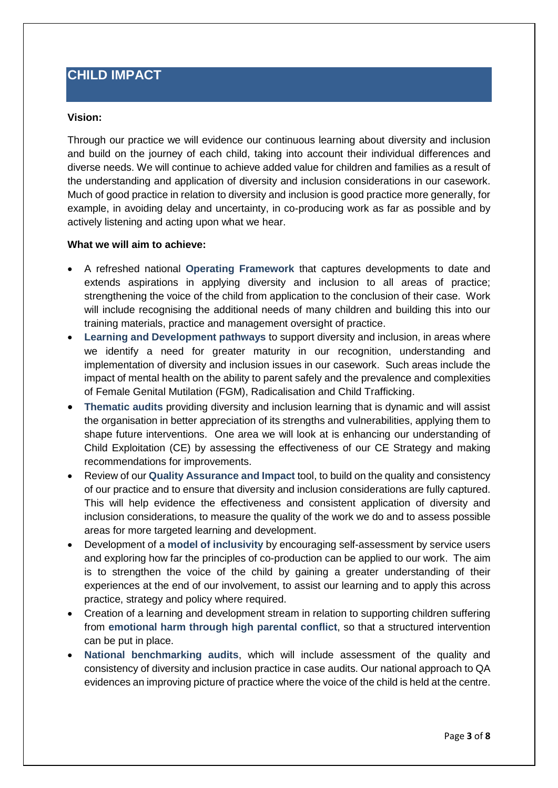### **CHILD IMPACT**

### **Vision:**

Through our practice we will evidence our continuous learning about diversity and inclusion and build on the journey of each child, taking into account their individual differences and diverse needs. We will continue to achieve added value for children and families as a result of the understanding and application of diversity and inclusion considerations in our casework. Much of good practice in relation to diversity and inclusion is good practice more generally, for example, in avoiding delay and uncertainty, in co-producing work as far as possible and by actively listening and acting upon what we hear.

#### **What we will aim to achieve:**

- A refreshed national **Operating Framework** that captures developments to date and extends aspirations in applying diversity and inclusion to all areas of practice; strengthening the voice of the child from application to the conclusion of their case. Work will include recognising the additional needs of many children and building this into our training materials, practice and management oversight of practice.
- **Learning and Development pathways** to support diversity and inclusion, in areas where we identify a need for greater maturity in our recognition, understanding and implementation of diversity and inclusion issues in our casework. Such areas include the impact of mental health on the ability to parent safely and the prevalence and complexities of Female Genital Mutilation (FGM), Radicalisation and Child Trafficking.
- **Thematic audits** providing diversity and inclusion learning that is dynamic and will assist the organisation in better appreciation of its strengths and vulnerabilities, applying them to shape future interventions. One area we will look at is enhancing our understanding of Child Exploitation (CE) by assessing the effectiveness of our CE Strategy and making recommendations for improvements.
- Review of our **Quality Assurance and Impact** tool, to build on the quality and consistency of our practice and to ensure that diversity and inclusion considerations are fully captured. This will help evidence the effectiveness and consistent application of diversity and inclusion considerations, to measure the quality of the work we do and to assess possible areas for more targeted learning and development.
- Development of a **model of inclusivity** by encouraging self-assessment by service users and exploring how far the principles of co-production can be applied to our work. The aim is to strengthen the voice of the child by gaining a greater understanding of their experiences at the end of our involvement, to assist our learning and to apply this across practice, strategy and policy where required.
- Creation of a learning and development stream in relation to supporting children suffering from **emotional harm through high parental conflict**, so that a structured intervention can be put in place.
- **National benchmarking audits**, which will include assessment of the quality and consistency of diversity and inclusion practice in case audits. Our national approach to QA evidences an improving picture of practice where the voice of the child is held at the centre.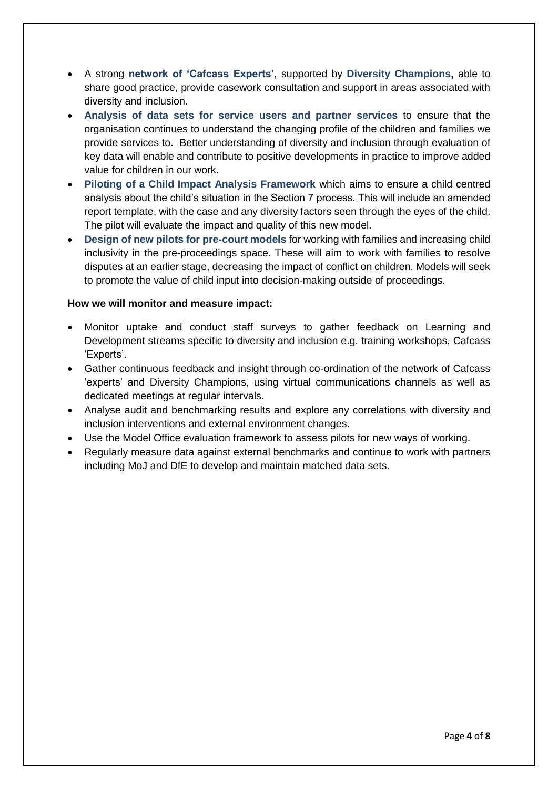- A strong **network of 'Cafcass Experts'**, supported by **Diversity Champions,** able to share good practice, provide casework consultation and support in areas associated with diversity and inclusion.
- **Analysis of data sets for service users and partner services** to ensure that the organisation continues to understand the changing profile of the children and families we provide services to. Better understanding of diversity and inclusion through evaluation of key data will enable and contribute to positive developments in practice to improve added value for children in our work.
- **Piloting of a Child Impact Analysis Framework** which aims to ensure a child centred analysis about the child's situation in the Section 7 process. This will include an amended report template, with the case and any diversity factors seen through the eyes of the child. The pilot will evaluate the impact and quality of this new model.
- **Design of new pilots for pre-court models** for working with families and increasing child inclusivity in the pre-proceedings space. These will aim to work with families to resolve disputes at an earlier stage, decreasing the impact of conflict on children. Models will seek to promote the value of child input into decision-making outside of proceedings.

### **How we will monitor and measure impact:**

- Monitor uptake and conduct staff surveys to gather feedback on Learning and Development streams specific to diversity and inclusion e.g. training workshops, Cafcass 'Experts'.
- Gather continuous feedback and insight through co-ordination of the network of Cafcass 'experts' and Diversity Champions, using virtual communications channels as well as dedicated meetings at regular intervals.
- Analyse audit and benchmarking results and explore any correlations with diversity and inclusion interventions and external environment changes.
- Use the Model Office evaluation framework to assess pilots for new ways of working.
- Regularly measure data against external benchmarks and continue to work with partners including MoJ and DfE to develop and maintain matched data sets.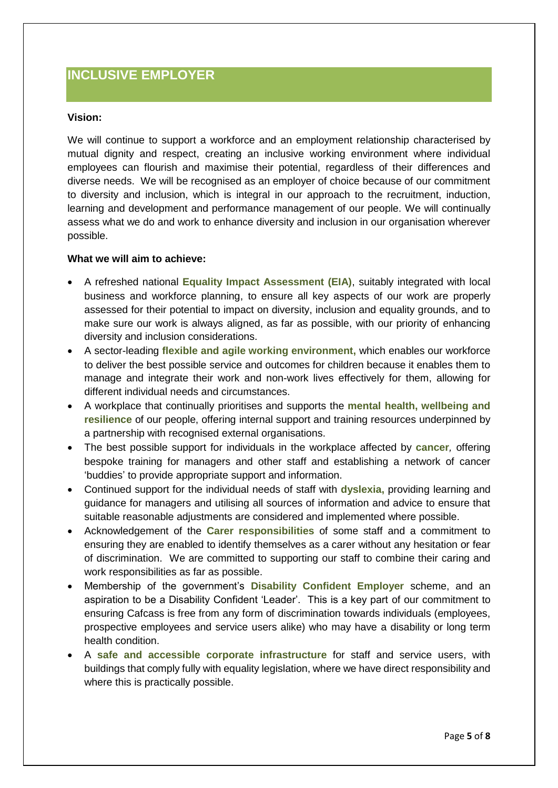### **INCLUSIVE EMPLOYER**

### **Vision:**

We will continue to support a workforce and an employment relationship characterised by mutual dignity and respect, creating an inclusive working environment where individual employees can flourish and maximise their potential, regardless of their differences and diverse needs. We will be recognised as an employer of choice because of our commitment to diversity and inclusion, which is integral in our approach to the recruitment, induction, learning and development and performance management of our people. We will continually assess what we do and work to enhance diversity and inclusion in our organisation wherever possible.

#### **What we will aim to achieve:**

- A refreshed national **Equality Impact Assessment (EIA)**, suitably integrated with local business and workforce planning, to ensure all key aspects of our work are properly assessed for their potential to impact on diversity, inclusion and equality grounds, and to make sure our work is always aligned, as far as possible, with our priority of enhancing diversity and inclusion considerations.
- A sector-leading **flexible and agile working environment,** which enables our workforce to deliver the best possible service and outcomes for children because it enables them to manage and integrate their work and non-work lives effectively for them, allowing for different individual needs and circumstances.
- A workplace that continually prioritises and supports the **mental health, wellbeing and resilience** of our people, offering internal support and training resources underpinned by a partnership with recognised external organisations.
- The best possible support for individuals in the workplace affected by **cancer***,* offering bespoke training for managers and other staff and establishing a network of cancer 'buddies' to provide appropriate support and information.
- Continued support for the individual needs of staff with **dyslexia,** providing learning and guidance for managers and utilising all sources of information and advice to ensure that suitable reasonable adjustments are considered and implemented where possible.
- Acknowledgement of the **Carer responsibilities** of some staff and a commitment to ensuring they are enabled to identify themselves as a carer without any hesitation or fear of discrimination. We are committed to supporting our staff to combine their caring and work responsibilities as far as possible.
- Membership of the government's **Disability Confident Employer** scheme, and an aspiration to be a Disability Confident 'Leader'. This is a key part of our commitment to ensuring Cafcass is free from any form of discrimination towards individuals (employees, prospective employees and service users alike) who may have a disability or long term health condition.
- A **safe and accessible corporate infrastructure** for staff and service users, with buildings that comply fully with equality legislation, where we have direct responsibility and where this is practically possible.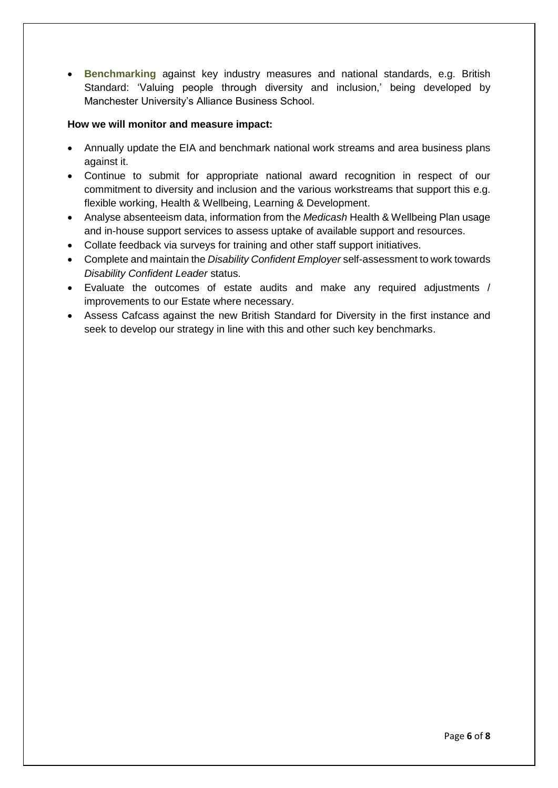**Benchmarking** against key industry measures and national standards, e.g. British Standard: 'Valuing people through diversity and inclusion,' being developed by Manchester University's Alliance Business School.

### **How we will monitor and measure impact:**

- Annually update the EIA and benchmark national work streams and area business plans against it.
- Continue to submit for appropriate national award recognition in respect of our commitment to diversity and inclusion and the various workstreams that support this e.g. flexible working, Health & Wellbeing, Learning & Development.
- Analyse absenteeism data, information from the *Medicash* Health & Wellbeing Plan usage and in-house support services to assess uptake of available support and resources.
- Collate feedback via surveys for training and other staff support initiatives.
- Complete and maintain the *Disability Confident Employer* self-assessment to work towards *Disability Confident Leader* status.
- Evaluate the outcomes of estate audits and make any required adjustments / improvements to our Estate where necessary.
- Assess Cafcass against the new British Standard for Diversity in the first instance and seek to develop our strategy in line with this and other such key benchmarks.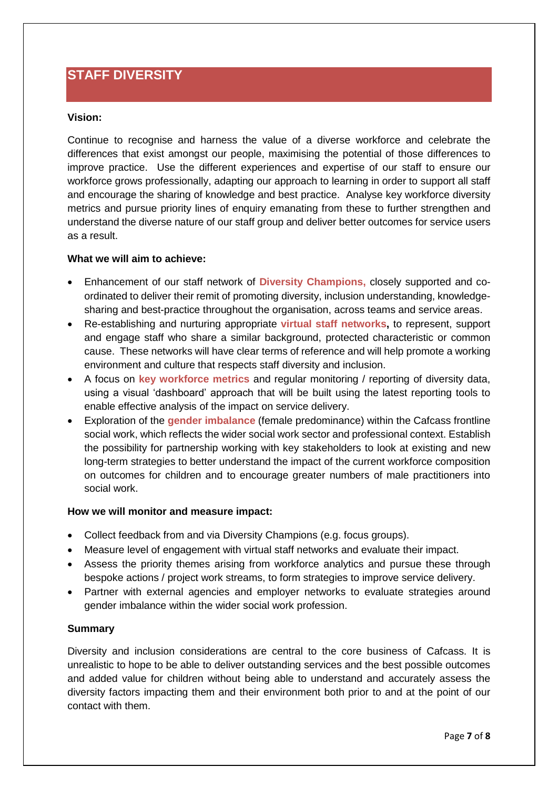### **STAFF DIVERSITY**

### **Vision:**

Continue to recognise and harness the value of a diverse workforce and celebrate the differences that exist amongst our people, maximising the potential of those differences to improve practice. Use the different experiences and expertise of our staff to ensure our workforce grows professionally, adapting our approach to learning in order to support all staff and encourage the sharing of knowledge and best practice. Analyse key workforce diversity metrics and pursue priority lines of enquiry emanating from these to further strengthen and understand the diverse nature of our staff group and deliver better outcomes for service users as a result.

### **What we will aim to achieve:**

- Enhancement of our staff network of **Diversity Champions,** closely supported and coordinated to deliver their remit of promoting diversity, inclusion understanding, knowledgesharing and best-practice throughout the organisation, across teams and service areas.
- Re-establishing and nurturing appropriate **virtual staff networks,** to represent, support and engage staff who share a similar background, protected characteristic or common cause. These networks will have clear terms of reference and will help promote a working environment and culture that respects staff diversity and inclusion.
- A focus on **key workforce metrics** and regular monitoring / reporting of diversity data, using a visual 'dashboard' approach that will be built using the latest reporting tools to enable effective analysis of the impact on service delivery.
- Exploration of the **gender imbalance** (female predominance) within the Cafcass frontline social work, which reflects the wider social work sector and professional context. Establish the possibility for partnership working with key stakeholders to look at existing and new long-term strategies to better understand the impact of the current workforce composition on outcomes for children and to encourage greater numbers of male practitioners into social work.

### **How we will monitor and measure impact:**

- Collect feedback from and via Diversity Champions (e.g. focus groups).
- Measure level of engagement with virtual staff networks and evaluate their impact.
- Assess the priority themes arising from workforce analytics and pursue these through bespoke actions / project work streams, to form strategies to improve service delivery.
- Partner with external agencies and employer networks to evaluate strategies around gender imbalance within the wider social work profession.

#### **Summary**

Diversity and inclusion considerations are central to the core business of Cafcass. It is unrealistic to hope to be able to deliver outstanding services and the best possible outcomes and added value for children without being able to understand and accurately assess the diversity factors impacting them and their environment both prior to and at the point of our contact with them.